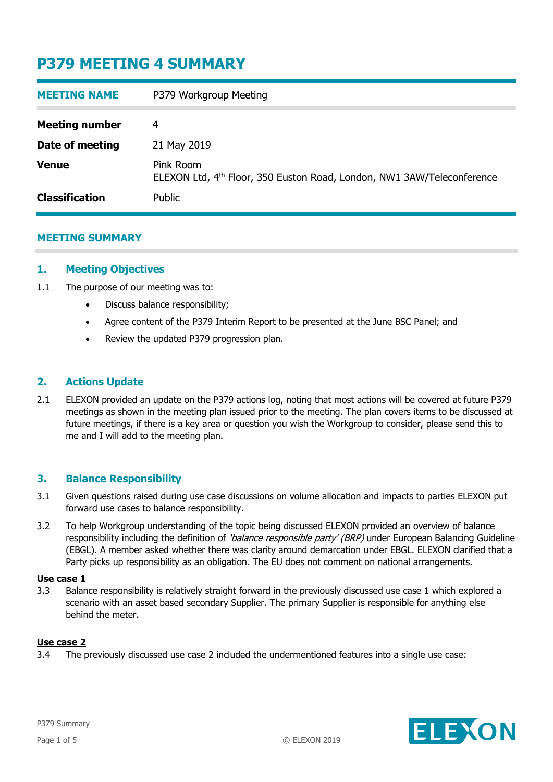| <b>MEETING NAME</b>   | P379 Workgroup Meeting                                                                          |
|-----------------------|-------------------------------------------------------------------------------------------------|
| <b>Meeting number</b> | 4                                                                                               |
| Date of meeting       | 21 May 2019                                                                                     |
| <b>Venue</b>          | Pink Room<br>ELEXON Ltd, 4 <sup>th</sup> Floor, 350 Euston Road, London, NW1 3AW/Teleconference |
| <b>Classification</b> | Public                                                                                          |

## **MEETING SUMMARY**

## **1. Meeting Objectives**

- 1.1 The purpose of our meeting was to:
	- Discuss balance responsibility;
	- Agree content of the P379 Interim Report to be presented at the June BSC Panel; and
	- Review the updated P379 progression plan.

## **2. Actions Update**

2.1 ELEXON provided an update on the P379 actions log, noting that most actions will be covered at future P379 meetings as shown in the meeting plan issued prior to the meeting. The plan covers items to be discussed at future meetings, if there is a key area or question you wish the Workgroup to consider, please send this to me and I will add to the meeting plan.

### **3. Balance Responsibility**

- 3.1 Given questions raised during use case discussions on volume allocation and impacts to parties ELEXON put forward use cases to balance responsibility.
- 3.2 To help Workgroup understanding of the topic being discussed ELEXON provided an overview of balance responsibility including the definition of 'balance responsible party' (BRP) under European Balancing Guideline (EBGL). A member asked whether there was clarity around demarcation under EBGL. ELEXON clarified that a Party picks up responsibility as an obligation. The EU does not comment on national arrangements.

#### **Use case 1**

3.3 Balance responsibility is relatively straight forward in the previously discussed use case 1 which explored a scenario with an asset based secondary Supplier. The primary Supplier is responsible for anything else behind the meter.

### **Use case 2**

3.4 The previously discussed use case 2 included the undermentioned features into a single use case:

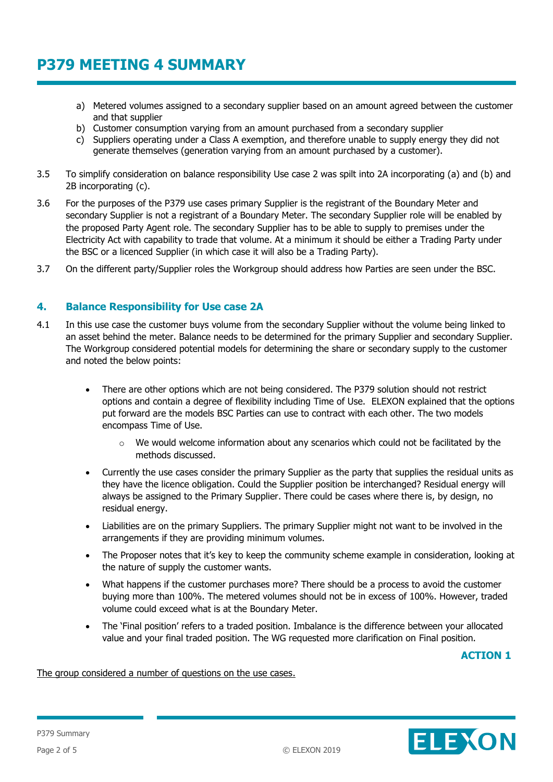- a) Metered volumes assigned to a secondary supplier based on an amount agreed between the customer and that supplier
- b) Customer consumption varying from an amount purchased from a secondary supplier
- c) Suppliers operating under a Class A exemption, and therefore unable to supply energy they did not generate themselves (generation varying from an amount purchased by a customer).
- 3.5 To simplify consideration on balance responsibility Use case 2 was spilt into 2A incorporating (a) and (b) and 2B incorporating (c).
- 3.6 For the purposes of the P379 use cases primary Supplier is the registrant of the Boundary Meter and secondary Supplier is not a registrant of a Boundary Meter. The secondary Supplier role will be enabled by the proposed Party Agent role. The secondary Supplier has to be able to supply to premises under the Electricity Act with capability to trade that volume. At a minimum it should be either a Trading Party under the BSC or a licenced Supplier (in which case it will also be a Trading Party).
- 3.7 On the different party/Supplier roles the Workgroup should address how Parties are seen under the BSC.

## **4. Balance Responsibility for Use case 2A**

- 4.1 In this use case the customer buys volume from the secondary Supplier without the volume being linked to an asset behind the meter. Balance needs to be determined for the primary Supplier and secondary Supplier. The Workgroup considered potential models for determining the share or secondary supply to the customer and noted the below points:
	- There are other options which are not being considered. The P379 solution should not restrict options and contain a degree of flexibility including Time of Use. ELEXON explained that the options put forward are the models BSC Parties can use to contract with each other. The two models encompass Time of Use.
		- $\circ$  We would welcome information about any scenarios which could not be facilitated by the methods discussed.
	- Currently the use cases consider the primary Supplier as the party that supplies the residual units as they have the licence obligation. Could the Supplier position be interchanged? Residual energy will always be assigned to the Primary Supplier. There could be cases where there is, by design, no residual energy.
	- Liabilities are on the primary Suppliers. The primary Supplier might not want to be involved in the arrangements if they are providing minimum volumes.
	- The Proposer notes that it's key to keep the community scheme example in consideration, looking at the nature of supply the customer wants.
	- What happens if the customer purchases more? There should be a process to avoid the customer buying more than 100%. The metered volumes should not be in excess of 100%. However, traded volume could exceed what is at the Boundary Meter.
	- The 'Final position' refers to a traded position. Imbalance is the difference between your allocated value and your final traded position. The WG requested more clarification on Final position.

**ACTION 1**

#### The group considered a number of questions on the use cases.

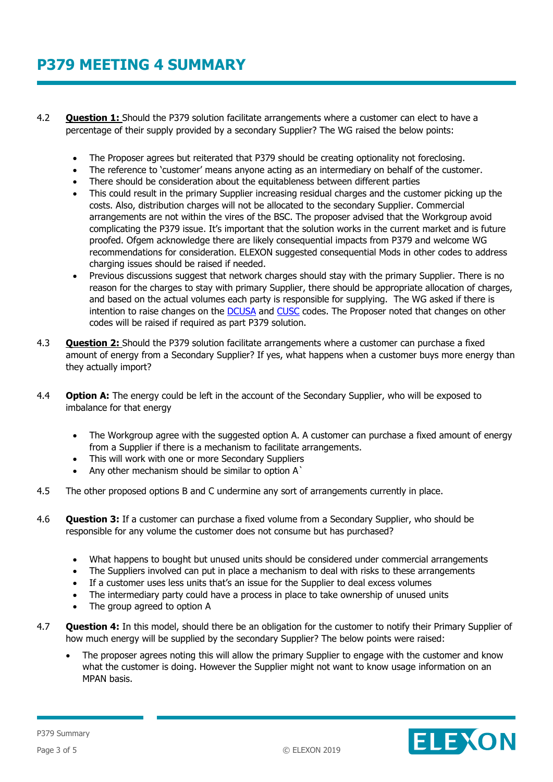- 4.2 **Question 1:** Should the P379 solution facilitate arrangements where a customer can elect to have a percentage of their supply provided by a secondary Supplier? The WG raised the below points:
	- The Proposer agrees but reiterated that P379 should be creating optionality not foreclosing.
	- The reference to 'customer' means anyone acting as an intermediary on behalf of the customer.
	- There should be consideration about the equitableness between different parties
	- This could result in the primary Supplier increasing residual charges and the customer picking up the costs. Also, distribution charges will not be allocated to the secondary Supplier. Commercial arrangements are not within the vires of the BSC. The proposer advised that the Workgroup avoid complicating the P379 issue. It's important that the solution works in the current market and is future proofed. Ofgem acknowledge there are likely consequential impacts from P379 and welcome WG recommendations for consideration. ELEXON suggested consequential Mods in other codes to address charging issues should be raised if needed.
	- Previous discussions suggest that network charges should stay with the primary Supplier. There is no reason for the charges to stay with primary Supplier, there should be appropriate allocation of charges, and based on the actual volumes each party is responsible for supplying. The WG asked if there is intention to raise changes on the [DCUSA](https://www.dcusa.co.uk/SitePages/Home.aspx) and [CUSC](https://www.nationalgrideso.com/codes/connection-and-use-system-code-cusc) codes. The Proposer noted that changes on other codes will be raised if required as part P379 solution.
- 4.3 **Question 2:** Should the P379 solution facilitate arrangements where a customer can purchase a fixed amount of energy from a Secondary Supplier? If yes, what happens when a customer buys more energy than they actually import?
- 4.4 **Option A:** The energy could be left in the account of the Secondary Supplier, who will be exposed to imbalance for that energy
	- The Workgroup agree with the suggested option A. A customer can purchase a fixed amount of energy from a Supplier if there is a mechanism to facilitate arrangements.
	- This will work with one or more Secondary Suppliers
	- Any other mechanism should be similar to option A`
- 4.5 The other proposed options B and C undermine any sort of arrangements currently in place.
- 4.6 **Question 3:** If a customer can purchase a fixed volume from a Secondary Supplier, who should be responsible for any volume the customer does not consume but has purchased?
	- What happens to bought but unused units should be considered under commercial arrangements
	- The Suppliers involved can put in place a mechanism to deal with risks to these arrangements
	- If a customer uses less units that's an issue for the Supplier to deal excess volumes
	- The intermediary party could have a process in place to take ownership of unused units
	- The group agreed to option A
- 4.7 **Question 4:** In this model, should there be an obligation for the customer to notify their Primary Supplier of how much energy will be supplied by the secondary Supplier? The below points were raised:
	- The proposer agrees noting this will allow the primary Supplier to engage with the customer and know what the customer is doing. However the Supplier might not want to know usage information on an MPAN basis.

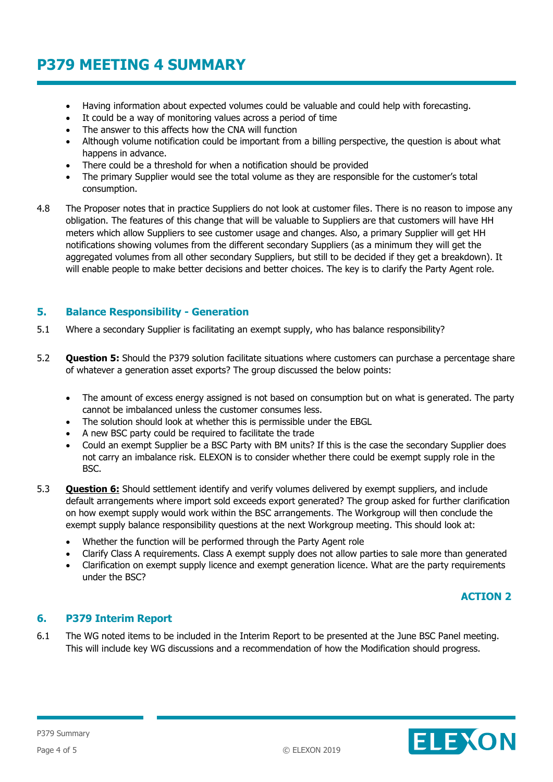- Having information about expected volumes could be valuable and could help with forecasting.
- It could be a way of monitoring values across a period of time
- The answer to this affects how the CNA will function
- Although volume notification could be important from a billing perspective, the question is about what happens in advance.
- There could be a threshold for when a notification should be provided
- The primary Supplier would see the total volume as they are responsible for the customer's total consumption.
- 4.8 The Proposer notes that in practice Suppliers do not look at customer files. There is no reason to impose any obligation. The features of this change that will be valuable to Suppliers are that customers will have HH meters which allow Suppliers to see customer usage and changes. Also, a primary Supplier will get HH notifications showing volumes from the different secondary Suppliers (as a minimum they will get the aggregated volumes from all other secondary Suppliers, but still to be decided if they get a breakdown). It will enable people to make better decisions and better choices. The key is to clarify the Party Agent role.

## **5. Balance Responsibility - Generation**

- 5.1 Where a secondary Supplier is facilitating an exempt supply, who has balance responsibility?
- 5.2 **Question 5:** Should the P379 solution facilitate situations where customers can purchase a percentage share of whatever a generation asset exports? The group discussed the below points:
	- The amount of excess energy assigned is not based on consumption but on what is generated. The party cannot be imbalanced unless the customer consumes less.
	- The solution should look at whether this is permissible under the EBGL
	- A new BSC party could be required to facilitate the trade
	- Could an exempt Supplier be a BSC Party with BM units? If this is the case the secondary Supplier does not carry an imbalance risk. ELEXON is to consider whether there could be exempt supply role in the BSC.
- 5.3 **Question 6:** Should settlement identify and verify volumes delivered by exempt suppliers, and include default arrangements where import sold exceeds export generated? The group asked for further clarification on how exempt supply would work within the BSC arrangements. The Workgroup will then conclude the exempt supply balance responsibility questions at the next Workgroup meeting. This should look at:
	- Whether the function will be performed through the Party Agent role
	- Clarify Class A requirements. Class A exempt supply does not allow parties to sale more than generated
	- Clarification on exempt supply licence and exempt generation licence. What are the party requirements under the BSC?

## **ACTION 2**

# **6. P379 Interim Report**

6.1 The WG noted items to be included in the Interim Report to be presented at the June BSC Panel meeting. This will include key WG discussions and a recommendation of how the Modification should progress.